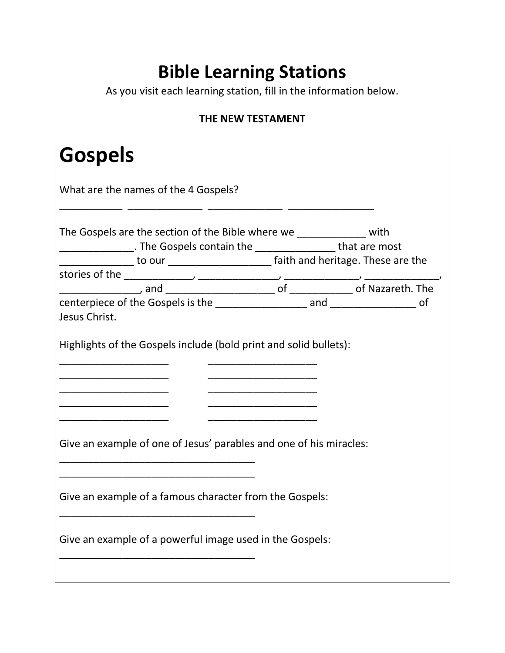## **Bible Learning Stations**

As you visit each learning station, fill in the information below.

## **THE NEW TESTAMENT**

| <b>Gospels</b>                                                                                                                                            |  |  |  |  |
|-----------------------------------------------------------------------------------------------------------------------------------------------------------|--|--|--|--|
| What are the names of the 4 Gospels?                                                                                                                      |  |  |  |  |
| The Gospels are the section of the Bible where we ______________ with<br>___________________. The Gospels contain the _____________________ that are most |  |  |  |  |
|                                                                                                                                                           |  |  |  |  |
|                                                                                                                                                           |  |  |  |  |
|                                                                                                                                                           |  |  |  |  |
| Jesus Christ.                                                                                                                                             |  |  |  |  |
| Highlights of the Gospels include (bold print and solid bullets):                                                                                         |  |  |  |  |
| _____________________________                                                                                                                             |  |  |  |  |
| Give an example of one of Jesus' parables and one of his miracles:                                                                                        |  |  |  |  |
| Give an example of a famous character from the Gospels:                                                                                                   |  |  |  |  |
| Give an example of a powerful image used in the Gospels:                                                                                                  |  |  |  |  |
|                                                                                                                                                           |  |  |  |  |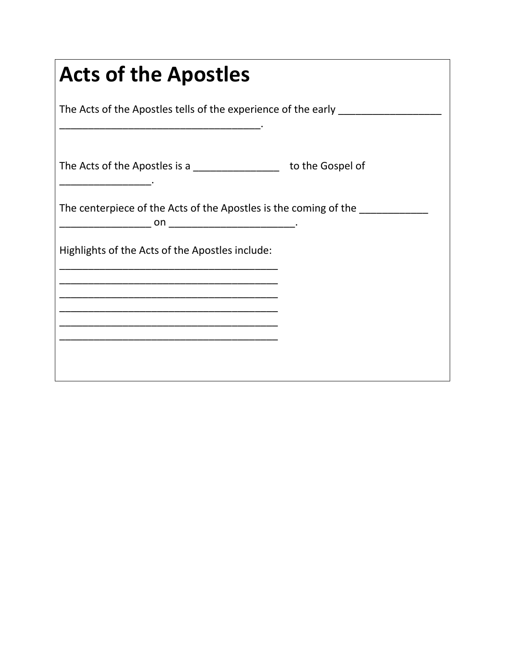| <b>Acts of the Apostles</b><br>The Acts of the Apostles tells of the experience of the early                          |  |  |  |  |
|-----------------------------------------------------------------------------------------------------------------------|--|--|--|--|
|                                                                                                                       |  |  |  |  |
| The centerpiece of the Acts of the Apostles is the coming of the                                                      |  |  |  |  |
| Highlights of the Acts of the Apostles include:                                                                       |  |  |  |  |
| <u> 1990 - Johann John Stone, markin film yn y system yn y system yn y system yn y system yn y system yn y system</u> |  |  |  |  |
|                                                                                                                       |  |  |  |  |
|                                                                                                                       |  |  |  |  |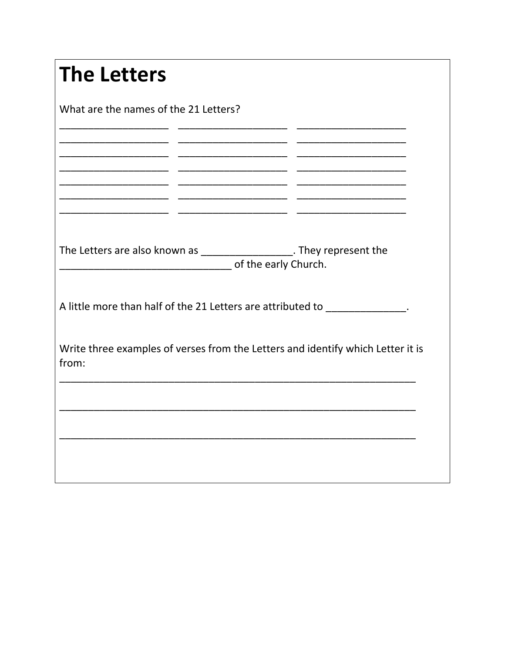| <b>The Letters</b>                                                                                         |  |  |  |  |
|------------------------------------------------------------------------------------------------------------|--|--|--|--|
| What are the names of the 21 Letters?                                                                      |  |  |  |  |
| _______________________                                                                                    |  |  |  |  |
|                                                                                                            |  |  |  |  |
|                                                                                                            |  |  |  |  |
| The Letters are also known as ___________________. They represent the<br>Denomination of the early Church. |  |  |  |  |
| A little more than half of the 21 Letters are attributed to ______________.                                |  |  |  |  |
| Write three examples of verses from the Letters and identify which Letter it is<br>from:                   |  |  |  |  |
|                                                                                                            |  |  |  |  |
|                                                                                                            |  |  |  |  |
|                                                                                                            |  |  |  |  |